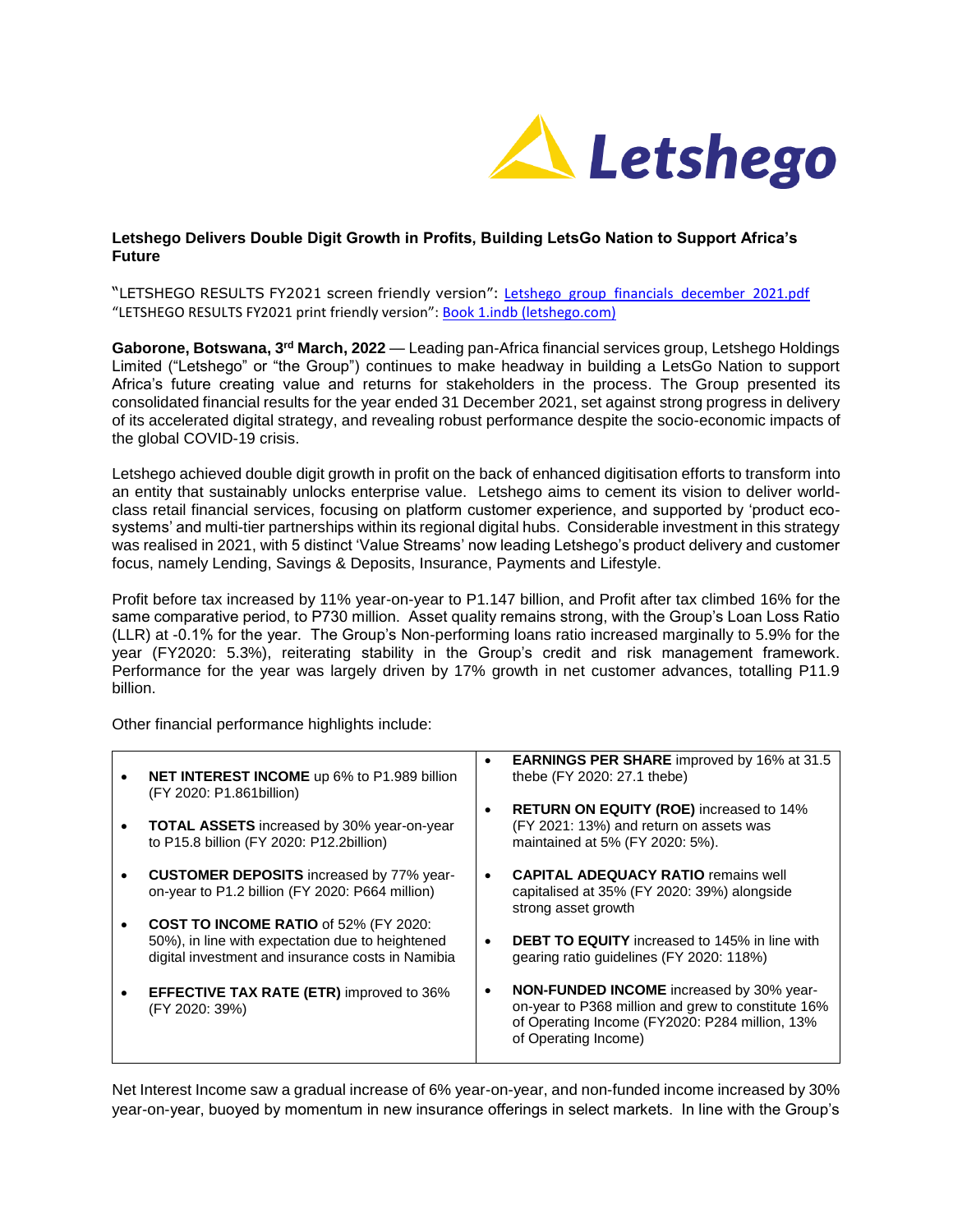

## **Letshego Delivers Double Digit Growth in Profits, Building LetsGo Nation to Support Africa's Future**

"LETSHEGO RESULTS FY2021 screen friendly version": [Letshego\\_group\\_financials\\_december\\_2021.pdf](https://www.letshego.com/sites/default/files/financial-results/%E2%80%9CLETSHEGO%20RESULTS%20FY2021%20screen%20friendly%20version%E2%80%9D_0.pdf) "LETSHEGO RESULTS FY2021 print friendly version": [Book 1.indb \(letshego.com\)](https://www.letshego.com/sites/default/files/financial-results/%E2%80%9CLETSHEGO%20RESULTS%20BOOKLET%20FY2021%20print%20friendly%20version%20%E2%80%9C.pdf)

Gaborone, Botswana, 3<sup>rd</sup> March, 2022 — Leading pan-Africa financial services group, Letshego Holdings Limited ("Letshego" or "the Group") continues to make headway in building a LetsGo Nation to support Africa's future creating value and returns for stakeholders in the process. The Group presented its consolidated financial results for the year ended 31 December 2021, set against strong progress in delivery of its accelerated digital strategy, and revealing robust performance despite the socio-economic impacts of the global COVID-19 crisis.

Letshego achieved double digit growth in profit on the back of enhanced digitisation efforts to transform into an entity that sustainably unlocks enterprise value. Letshego aims to cement its vision to deliver worldclass retail financial services, focusing on platform customer experience, and supported by 'product ecosystems' and multi-tier partnerships within its regional digital hubs. Considerable investment in this strategy was realised in 2021, with 5 distinct 'Value Streams' now leading Letshego's product delivery and customer focus, namely Lending, Savings & Deposits, Insurance, Payments and Lifestyle.

Profit before tax increased by 11% year-on-year to P1.147 billion, and Profit after tax climbed 16% for the same comparative period, to P730 million. Asset quality remains strong, with the Group's Loan Loss Ratio (LLR) at -0.1% for the year. The Group's Non-performing loans ratio increased marginally to 5.9% for the year (FY2020: 5.3%), reiterating stability in the Group's credit and risk management framework. Performance for the year was largely driven by 17% growth in net customer advances, totalling P11.9 billion.

Other financial performance highlights include:

| $\bullet$ | <b>NET INTEREST INCOME</b> up 6% to P1.989 billion<br>(FY 2020: P1.861billion)                                                                        | <b>EARNINGS PER SHARE</b> improved by 16% at 31.5<br>thebe (FY 2020: 27.1 thebe)                                                                                                |
|-----------|-------------------------------------------------------------------------------------------------------------------------------------------------------|---------------------------------------------------------------------------------------------------------------------------------------------------------------------------------|
|           | <b>TOTAL ASSETS</b> increased by 30% year-on-year<br>to P15.8 billion (FY 2020: P12.2billion)                                                         | <b>RETURN ON EQUITY (ROE)</b> increased to 14%<br>(FY 2021: 13%) and return on assets was<br>maintained at 5% (FY 2020: 5%).                                                    |
|           | <b>CUSTOMER DEPOSITS</b> increased by 77% year-<br>on-year to P1.2 billion (FY 2020: P664 million)                                                    | <b>CAPITAL ADEQUACY RATIO remains well</b><br>capitalised at 35% (FY 2020: 39%) alongside<br>strong asset growth                                                                |
|           | <b>COST TO INCOME RATIO</b> of 52% (FY 2020:<br>50%), in line with expectation due to heightened<br>digital investment and insurance costs in Namibia | <b>DEBT TO EQUITY</b> increased to 145% in line with<br>gearing ratio guidelines (FY 2020: 118%)                                                                                |
|           | <b>EFFECTIVE TAX RATE (ETR)</b> improved to 36%<br>(FY 2020: 39%)                                                                                     | <b>NON-FUNDED INCOME</b> increased by 30% year-<br>on-year to P368 million and grew to constitute 16%<br>of Operating Income (FY2020: P284 million, 13%<br>of Operating Income) |

Net Interest Income saw a gradual increase of 6% year-on-year, and non-funded income increased by 30% year-on-year, buoyed by momentum in new insurance offerings in select markets. In line with the Group's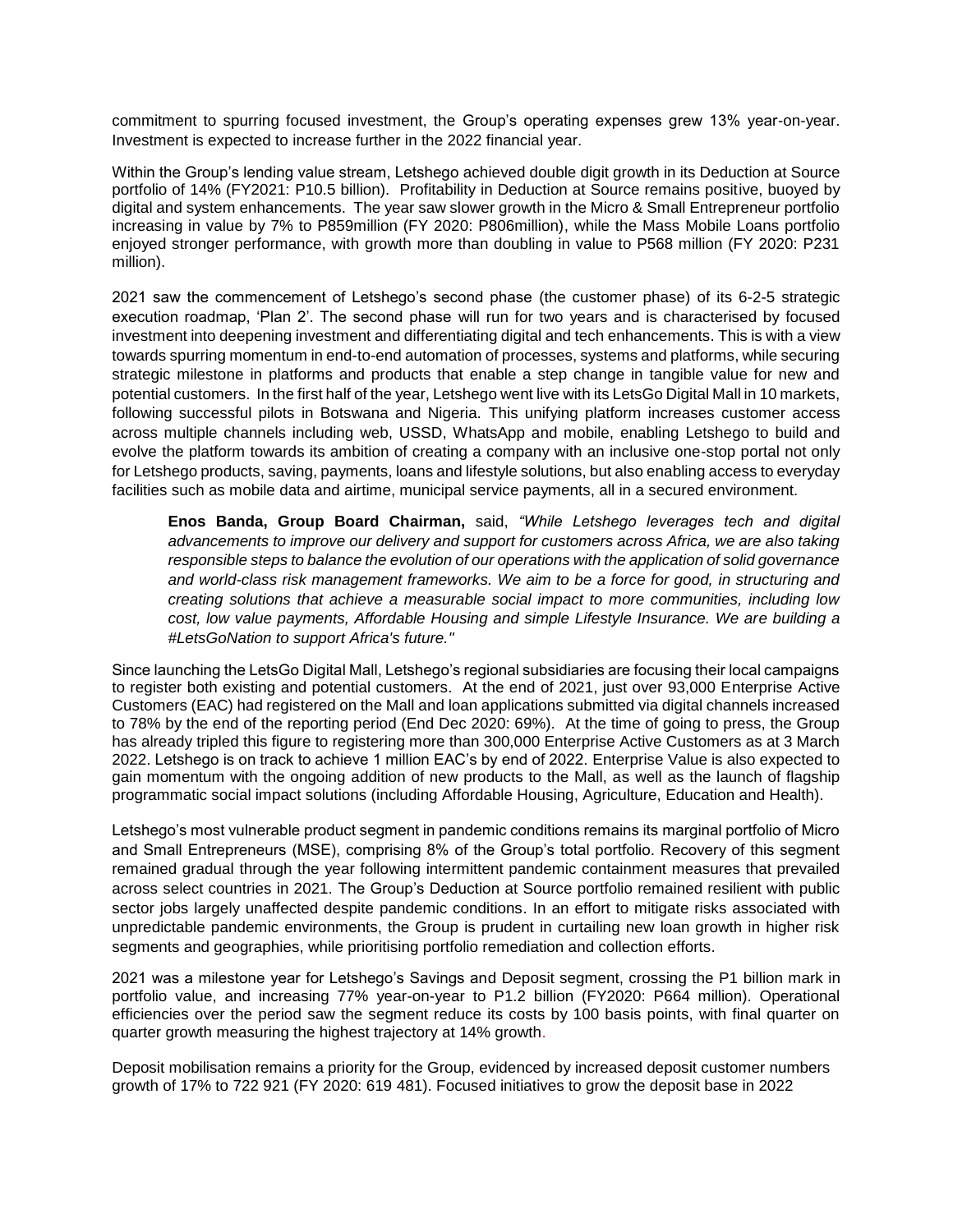commitment to spurring focused investment, the Group's operating expenses grew 13% year-on-year. Investment is expected to increase further in the 2022 financial year.

Within the Group's lending value stream, Letshego achieved double digit growth in its Deduction at Source portfolio of 14% (FY2021: P10.5 billion). Profitability in Deduction at Source remains positive, buoyed by digital and system enhancements. The year saw slower growth in the Micro & Small Entrepreneur portfolio increasing in value by 7% to P859million (FY 2020: P806million), while the Mass Mobile Loans portfolio enjoyed stronger performance, with growth more than doubling in value to P568 million (FY 2020: P231 million).

2021 saw the commencement of Letshego's second phase (the customer phase) of its 6-2-5 strategic execution roadmap, 'Plan 2'. The second phase will run for two years and is characterised by focused investment into deepening investment and differentiating digital and tech enhancements. This is with a view towards spurring momentum in end-to-end automation of processes, systems and platforms, while securing strategic milestone in platforms and products that enable a step change in tangible value for new and potential customers. In the first half of the year, Letshego went live with its LetsGo Digital Mall in 10 markets, following successful pilots in Botswana and Nigeria. This unifying platform increases customer access across multiple channels including web, USSD, WhatsApp and mobile, enabling Letshego to build and evolve the platform towards its ambition of creating a company with an inclusive one-stop portal not only for Letshego products, saving, payments, loans and lifestyle solutions, but also enabling access to everyday facilities such as mobile data and airtime, municipal service payments, all in a secured environment.

**Enos Banda, Group Board Chairman,** said, *"While Letshego leverages tech and digital advancements to improve our delivery and support for customers across Africa, we are also taking responsible steps to balance the evolution of our operations with the application of solid governance and world-class risk management frameworks. We aim to be a force for good, in structuring and creating solutions that achieve a measurable social impact to more communities, including low cost, low value payments, Affordable Housing and simple Lifestyle Insurance. We are building a #LetsGoNation to support Africa's future."* 

Since launching the LetsGo Digital Mall, Letshego's regional subsidiaries are focusing their local campaigns to register both existing and potential customers. At the end of 2021, just over 93,000 Enterprise Active Customers (EAC) had registered on the Mall and loan applications submitted via digital channels increased to 78% by the end of the reporting period (End Dec 2020: 69%). At the time of going to press, the Group has already tripled this figure to registering more than 300,000 Enterprise Active Customers as at 3 March 2022. Letshego is on track to achieve 1 million EAC's by end of 2022. Enterprise Value is also expected to gain momentum with the ongoing addition of new products to the Mall, as well as the launch of flagship programmatic social impact solutions (including Affordable Housing, Agriculture, Education and Health).

Letshego's most vulnerable product segment in pandemic conditions remains its marginal portfolio of Micro and Small Entrepreneurs (MSE), comprising 8% of the Group's total portfolio. Recovery of this segment remained gradual through the year following intermittent pandemic containment measures that prevailed across select countries in 2021. The Group's Deduction at Source portfolio remained resilient with public sector jobs largely unaffected despite pandemic conditions. In an effort to mitigate risks associated with unpredictable pandemic environments, the Group is prudent in curtailing new loan growth in higher risk segments and geographies, while prioritising portfolio remediation and collection efforts.

2021 was a milestone year for Letshego's Savings and Deposit segment, crossing the P1 billion mark in portfolio value, and increasing 77% year-on-year to P1.2 billion (FY2020: P664 million). Operational efficiencies over the period saw the segment reduce its costs by 100 basis points, with final quarter on quarter growth measuring the highest trajectory at 14% growth.

Deposit mobilisation remains a priority for the Group, evidenced by increased deposit customer numbers growth of 17% to 722 921 (FY 2020: 619 481). Focused initiatives to grow the deposit base in 2022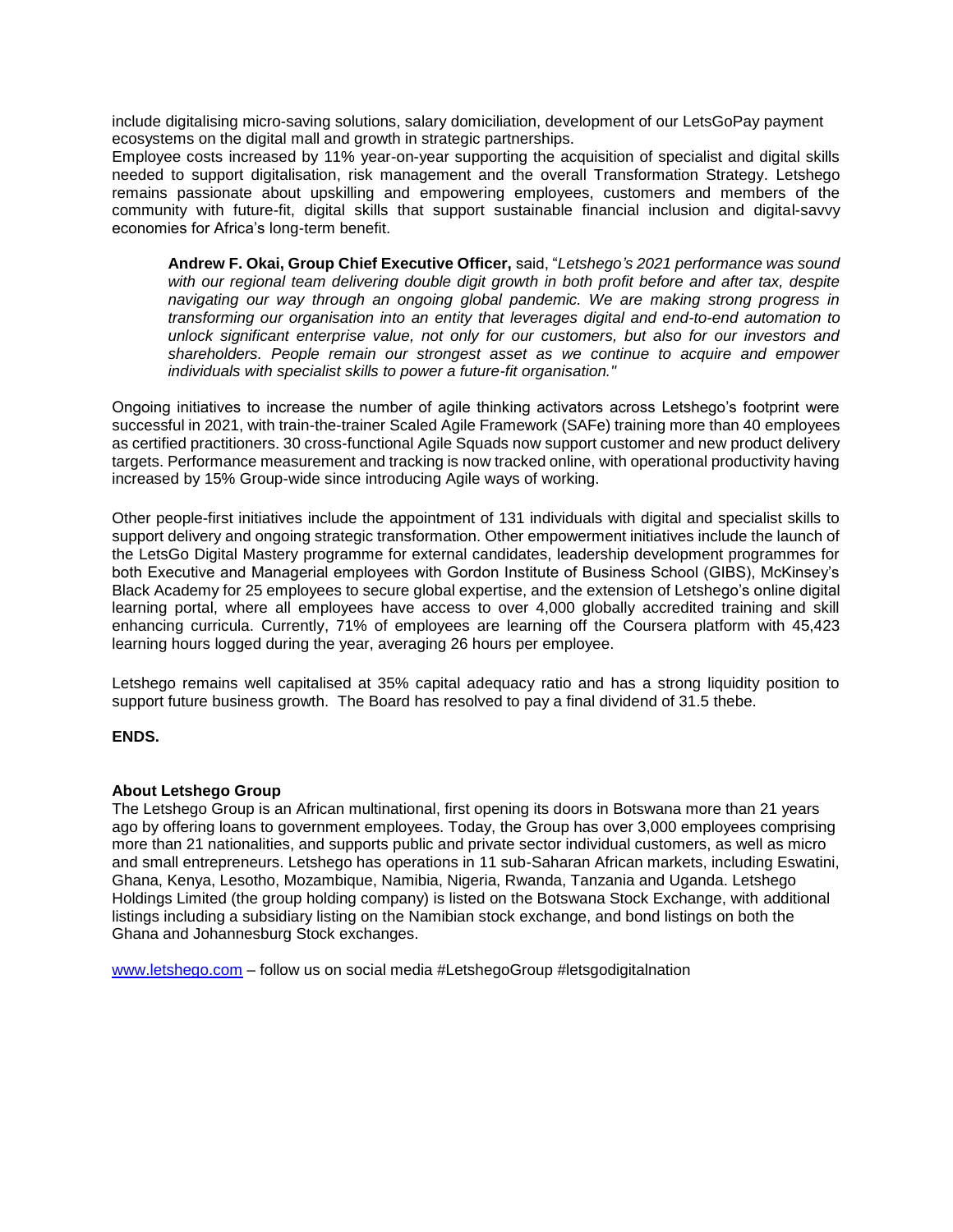include digitalising micro-saving solutions, salary domiciliation, development of our LetsGoPay payment ecosystems on the digital mall and growth in strategic partnerships.

Employee costs increased by 11% year-on-year supporting the acquisition of specialist and digital skills needed to support digitalisation, risk management and the overall Transformation Strategy. Letshego remains passionate about upskilling and empowering employees, customers and members of the community with future-fit, digital skills that support sustainable financial inclusion and digital-savvy economies for Africa's long-term benefit.

**Andrew F. Okai, Group Chief Executive Officer,** said, "*Letshego's 2021 performance was sound*  with our regional team delivering double digit growth in both profit before and after tax, despite *navigating our way through an ongoing global pandemic. We are making strong progress in transforming our organisation into an entity that leverages digital and end-to-end automation to unlock significant enterprise value, not only for our customers, but also for our investors and shareholders. People remain our strongest asset as we continue to acquire and empower individuals with specialist skills to power a future-fit organisation."* 

Ongoing initiatives to increase the number of agile thinking activators across Letshego's footprint were successful in 2021, with train-the-trainer Scaled Agile Framework (SAFe) training more than 40 employees as certified practitioners. 30 cross-functional Agile Squads now support customer and new product delivery targets. Performance measurement and tracking is now tracked online, with operational productivity having increased by 15% Group-wide since introducing Agile ways of working.

Other people-first initiatives include the appointment of 131 individuals with digital and specialist skills to support delivery and ongoing strategic transformation. Other empowerment initiatives include the launch of the LetsGo Digital Mastery programme for external candidates, leadership development programmes for both Executive and Managerial employees with Gordon Institute of Business School (GIBS), McKinsey's Black Academy for 25 employees to secure global expertise, and the extension of Letshego's online digital learning portal, where all employees have access to over 4,000 globally accredited training and skill enhancing curricula. Currently, 71% of employees are learning off the Coursera platform with 45,423 learning hours logged during the year, averaging 26 hours per employee.

Letshego remains well capitalised at 35% capital adequacy ratio and has a strong liquidity position to support future business growth. The Board has resolved to pay a final dividend of 31.5 thebe.

## **ENDS.**

## **About Letshego Group**

The Letshego Group is an African multinational, first opening its doors in Botswana more than 21 years ago by offering loans to government employees. Today, the Group has over 3,000 employees comprising more than 21 nationalities, and supports public and private sector individual customers, as well as micro and small entrepreneurs. Letshego has operations in 11 sub-Saharan African markets, including Eswatini, Ghana, Kenya, Lesotho, Mozambique, Namibia, Nigeria, Rwanda, Tanzania and Uganda. Letshego Holdings Limited (the group holding company) is listed on the Botswana Stock Exchange, with additional listings including a subsidiary listing on the Namibian stock exchange, and bond listings on both the Ghana and Johannesburg Stock exchanges.

[www.letshego.com](http://www.letshego.com/) – follow us on social media #LetshegoGroup #letsgodigitalnation